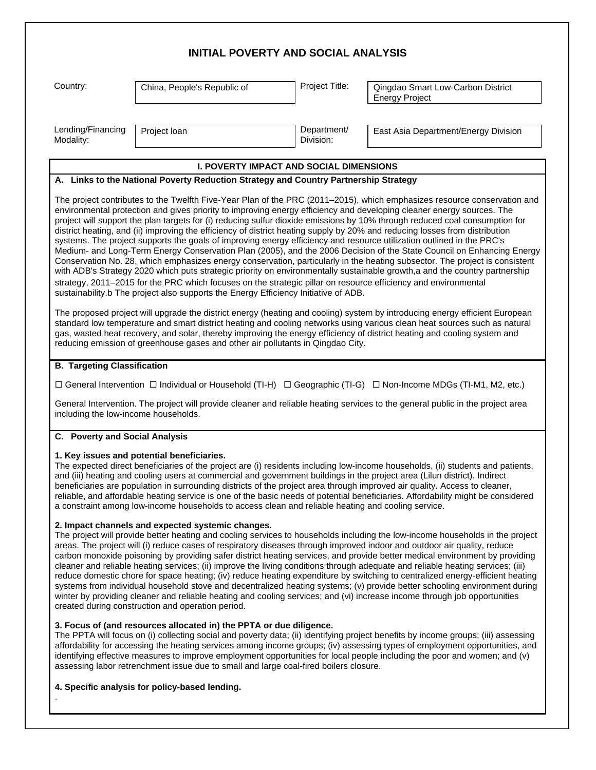| <b>INITIAL POVERTY AND SOCIAL ANALYSIS</b>                                                                                                                                                                                                                                                                                                                                                                                                                                                                                                                     |                                                                                                                                                                                                                                                                                                                                                                                                                                                                                                                                                                                                                                                                           |                          |                                                                                                                                                                                                                                                                                                                                                                                                                                                                                                                                                                                                                                                                                                                                                                                                                                                                                                                                                                                                                                       |  |
|----------------------------------------------------------------------------------------------------------------------------------------------------------------------------------------------------------------------------------------------------------------------------------------------------------------------------------------------------------------------------------------------------------------------------------------------------------------------------------------------------------------------------------------------------------------|---------------------------------------------------------------------------------------------------------------------------------------------------------------------------------------------------------------------------------------------------------------------------------------------------------------------------------------------------------------------------------------------------------------------------------------------------------------------------------------------------------------------------------------------------------------------------------------------------------------------------------------------------------------------------|--------------------------|---------------------------------------------------------------------------------------------------------------------------------------------------------------------------------------------------------------------------------------------------------------------------------------------------------------------------------------------------------------------------------------------------------------------------------------------------------------------------------------------------------------------------------------------------------------------------------------------------------------------------------------------------------------------------------------------------------------------------------------------------------------------------------------------------------------------------------------------------------------------------------------------------------------------------------------------------------------------------------------------------------------------------------------|--|
| Country:                                                                                                                                                                                                                                                                                                                                                                                                                                                                                                                                                       | China, People's Republic of                                                                                                                                                                                                                                                                                                                                                                                                                                                                                                                                                                                                                                               | Project Title:           | Qingdao Smart Low-Carbon District<br><b>Energy Project</b>                                                                                                                                                                                                                                                                                                                                                                                                                                                                                                                                                                                                                                                                                                                                                                                                                                                                                                                                                                            |  |
|                                                                                                                                                                                                                                                                                                                                                                                                                                                                                                                                                                |                                                                                                                                                                                                                                                                                                                                                                                                                                                                                                                                                                                                                                                                           |                          |                                                                                                                                                                                                                                                                                                                                                                                                                                                                                                                                                                                                                                                                                                                                                                                                                                                                                                                                                                                                                                       |  |
| Lending/Financing<br>Modality:                                                                                                                                                                                                                                                                                                                                                                                                                                                                                                                                 | Project loan                                                                                                                                                                                                                                                                                                                                                                                                                                                                                                                                                                                                                                                              | Department/<br>Division: | East Asia Department/Energy Division                                                                                                                                                                                                                                                                                                                                                                                                                                                                                                                                                                                                                                                                                                                                                                                                                                                                                                                                                                                                  |  |
|                                                                                                                                                                                                                                                                                                                                                                                                                                                                                                                                                                | <b>I. POVERTY IMPACT AND SOCIAL DIMENSIONS</b>                                                                                                                                                                                                                                                                                                                                                                                                                                                                                                                                                                                                                            |                          |                                                                                                                                                                                                                                                                                                                                                                                                                                                                                                                                                                                                                                                                                                                                                                                                                                                                                                                                                                                                                                       |  |
|                                                                                                                                                                                                                                                                                                                                                                                                                                                                                                                                                                | A. Links to the National Poverty Reduction Strategy and Country Partnership Strategy                                                                                                                                                                                                                                                                                                                                                                                                                                                                                                                                                                                      |                          |                                                                                                                                                                                                                                                                                                                                                                                                                                                                                                                                                                                                                                                                                                                                                                                                                                                                                                                                                                                                                                       |  |
|                                                                                                                                                                                                                                                                                                                                                                                                                                                                                                                                                                | environmental protection and gives priority to improving energy efficiency and developing cleaner energy sources. The<br>district heating, and (ii) improving the efficiency of district heating supply by 20% and reducing losses from distribution<br>systems. The project supports the goals of improving energy efficiency and resource utilization outlined in the PRC's<br>strategy, 2011-2015 for the PRC which focuses on the strategic pillar on resource efficiency and environmental<br>sustainability.b The project also supports the Energy Efficiency Initiative of ADB.<br>reducing emission of greenhouse gases and other air pollutants in Qingdao City. |                          | The project contributes to the Twelfth Five-Year Plan of the PRC (2011–2015), which emphasizes resource conservation and<br>project will support the plan targets for (i) reducing sulfur dioxide emissions by 10% through reduced coal consumption for<br>Medium- and Long-Term Energy Conservation Plan (2005), and the 2006 Decision of the State Council on Enhancing Energy<br>Conservation No. 28, which emphasizes energy conservation, particularly in the heating subsector. The project is consistent<br>with ADB's Strategy 2020 which puts strategic priority on environmentally sustainable growth,a and the country partnership<br>The proposed project will upgrade the district energy (heating and cooling) system by introducing energy efficient European<br>standard low temperature and smart district heating and cooling networks using various clean heat sources such as natural<br>gas, wasted heat recovery, and solar, thereby improving the energy efficiency of district heating and cooling system and |  |
| <b>B. Targeting Classification</b><br>including the low-income households.                                                                                                                                                                                                                                                                                                                                                                                                                                                                                     |                                                                                                                                                                                                                                                                                                                                                                                                                                                                                                                                                                                                                                                                           |                          | □ General Intervention □ Individual or Household (TI-H) □ Geographic (TI-G) □ Non-Income MDGs (TI-M1, M2, etc.)<br>General Intervention. The project will provide cleaner and reliable heating services to the general public in the project area                                                                                                                                                                                                                                                                                                                                                                                                                                                                                                                                                                                                                                                                                                                                                                                     |  |
| C. Poverty and Social Analysis                                                                                                                                                                                                                                                                                                                                                                                                                                                                                                                                 |                                                                                                                                                                                                                                                                                                                                                                                                                                                                                                                                                                                                                                                                           |                          |                                                                                                                                                                                                                                                                                                                                                                                                                                                                                                                                                                                                                                                                                                                                                                                                                                                                                                                                                                                                                                       |  |
|                                                                                                                                                                                                                                                                                                                                                                                                                                                                                                                                                                | 1. Key issues and potential beneficiaries.<br>and (iii) heating and cooling users at commercial and government buildings in the project area (Lilun district). Indirect<br>beneficiaries are population in surrounding districts of the project area through improved air quality. Access to cleaner,<br>a constraint among low-income households to access clean and reliable heating and cooling service.<br>2. Impact channels and expected systemic changes.                                                                                                                                                                                                          |                          | The expected direct beneficiaries of the project are (i) residents including low-income households, (ii) students and patients,<br>reliable, and affordable heating service is one of the basic needs of potential beneficiaries. Affordability might be considered                                                                                                                                                                                                                                                                                                                                                                                                                                                                                                                                                                                                                                                                                                                                                                   |  |
|                                                                                                                                                                                                                                                                                                                                                                                                                                                                                                                                                                | areas. The project will (i) reduce cases of respiratory diseases through improved indoor and outdoor air quality, reduce<br>created during construction and operation period.                                                                                                                                                                                                                                                                                                                                                                                                                                                                                             |                          | The project will provide better heating and cooling services to households including the low-income households in the project<br>carbon monoxide poisoning by providing safer district heating services, and provide better medical environment by providing<br>cleaner and reliable heating services; (ii) improve the living conditions through adequate and reliable heating services; (iii)<br>reduce domestic chore for space heating; (iv) reduce heating expenditure by switching to centralized energy-efficient heating<br>systems from individual household stove and decentralized heating systems; (v) provide better schooling environment during<br>winter by providing cleaner and reliable heating and cooling services; and (vi) increase income through job opportunities                                                                                                                                                                                                                                           |  |
| 3. Focus of (and resources allocated in) the PPTA or due diligence.<br>The PPTA will focus on (i) collecting social and poverty data; (ii) identifying project benefits by income groups; (iii) assessing<br>affordability for accessing the heating services among income groups; (iv) assessing types of employment opportunities, and<br>identifying effective measures to improve employment opportunities for local people including the poor and women; and (v)<br>assessing labor retrenchment issue due to small and large coal-fired boilers closure. |                                                                                                                                                                                                                                                                                                                                                                                                                                                                                                                                                                                                                                                                           |                          |                                                                                                                                                                                                                                                                                                                                                                                                                                                                                                                                                                                                                                                                                                                                                                                                                                                                                                                                                                                                                                       |  |

## **4. Specific analysis for policy-based lending.**

.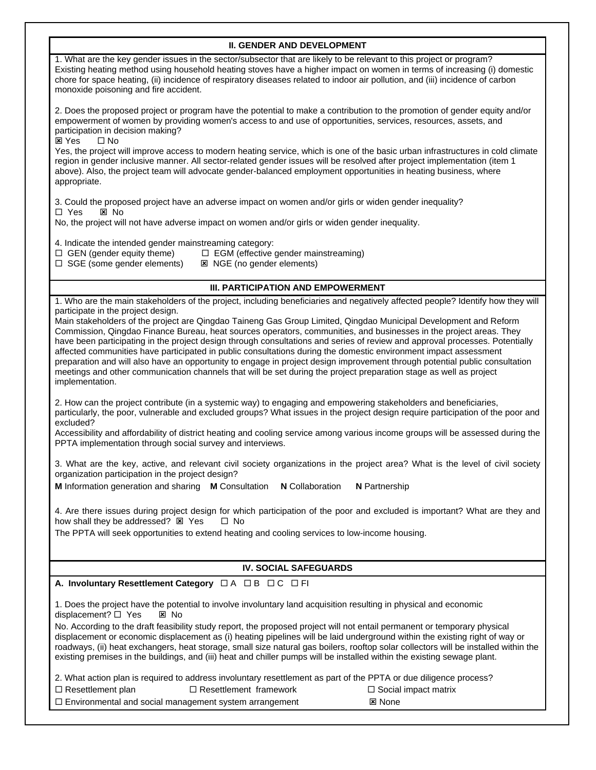| <b>II. GENDER AND DEVELOPMENT</b>                                                                                                                                                                                                                                                                                                                                                                                                                                                                                                                                                                                                                                                                                                                                                                        |  |  |  |
|----------------------------------------------------------------------------------------------------------------------------------------------------------------------------------------------------------------------------------------------------------------------------------------------------------------------------------------------------------------------------------------------------------------------------------------------------------------------------------------------------------------------------------------------------------------------------------------------------------------------------------------------------------------------------------------------------------------------------------------------------------------------------------------------------------|--|--|--|
| 1. What are the key gender issues in the sector/subsector that are likely to be relevant to this project or program?<br>Existing heating method using household heating stoves have a higher impact on women in terms of increasing (i) domestic<br>chore for space heating, (ii) incidence of respiratory diseases related to indoor air pollution, and (iii) incidence of carbon<br>monoxide poisoning and fire accident.                                                                                                                                                                                                                                                                                                                                                                              |  |  |  |
| 2. Does the proposed project or program have the potential to make a contribution to the promotion of gender equity and/or<br>empowerment of women by providing women's access to and use of opportunities, services, resources, assets, and<br>participation in decision making?<br><b>図 Yes</b><br>$\square$ No                                                                                                                                                                                                                                                                                                                                                                                                                                                                                        |  |  |  |
| Yes, the project will improve access to modern heating service, which is one of the basic urban infrastructures in cold climate<br>region in gender inclusive manner. All sector-related gender issues will be resolved after project implementation (item 1<br>above). Also, the project team will advocate gender-balanced employment opportunities in heating business, where<br>appropriate.                                                                                                                                                                                                                                                                                                                                                                                                         |  |  |  |
| 3. Could the proposed project have an adverse impact on women and/or girls or widen gender inequality?<br>□ Yes<br>区 No<br>No, the project will not have adverse impact on women and/or girls or widen gender inequality.                                                                                                                                                                                                                                                                                                                                                                                                                                                                                                                                                                                |  |  |  |
|                                                                                                                                                                                                                                                                                                                                                                                                                                                                                                                                                                                                                                                                                                                                                                                                          |  |  |  |
| 4. Indicate the intended gender mainstreaming category:<br>□ EGM (effective gender mainstreaming)<br>$\Box$ GEN (gender equity theme)                                                                                                                                                                                                                                                                                                                                                                                                                                                                                                                                                                                                                                                                    |  |  |  |
| $\Box$ SGE (some gender elements)<br><b>図 NGE (no gender elements)</b>                                                                                                                                                                                                                                                                                                                                                                                                                                                                                                                                                                                                                                                                                                                                   |  |  |  |
| III. PARTICIPATION AND EMPOWERMENT                                                                                                                                                                                                                                                                                                                                                                                                                                                                                                                                                                                                                                                                                                                                                                       |  |  |  |
| 1. Who are the main stakeholders of the project, including beneficiaries and negatively affected people? Identify how they will                                                                                                                                                                                                                                                                                                                                                                                                                                                                                                                                                                                                                                                                          |  |  |  |
| participate in the project design.<br>Main stakeholders of the project are Qingdao Taineng Gas Group Limited, Qingdao Municipal Development and Reform<br>Commission, Qingdao Finance Bureau, heat sources operators, communities, and businesses in the project areas. They<br>have been participating in the project design through consultations and series of review and approval processes. Potentially<br>affected communities have participated in public consultations during the domestic environment impact assessment<br>preparation and will also have an opportunity to engage in project design improvement through potential public consultation<br>meetings and other communication channels that will be set during the project preparation stage as well as project<br>implementation. |  |  |  |
| 2. How can the project contribute (in a systemic way) to engaging and empowering stakeholders and beneficiaries,<br>particularly, the poor, vulnerable and excluded groups? What issues in the project design require participation of the poor and<br>excluded?<br>Accessibility and affordability of district heating and cooling service among various income groups will be assessed during the<br>PPTA implementation through social survey and interviews.                                                                                                                                                                                                                                                                                                                                         |  |  |  |
| 3. What are the key, active, and relevant civil society organizations in the project area? What is the level of civil society<br>organization participation in the project design?<br>M Information generation and sharing M Consultation<br><b>N</b> Collaboration<br><b>N</b> Partnership                                                                                                                                                                                                                                                                                                                                                                                                                                                                                                              |  |  |  |
| 4. Are there issues during project design for which participation of the poor and excluded is important? What are they and<br>how shall they be addressed? E Yes<br>$\Box$ No                                                                                                                                                                                                                                                                                                                                                                                                                                                                                                                                                                                                                            |  |  |  |
| The PPTA will seek opportunities to extend heating and cooling services to low-income housing.                                                                                                                                                                                                                                                                                                                                                                                                                                                                                                                                                                                                                                                                                                           |  |  |  |
| <b>IV. SOCIAL SAFEGUARDS</b>                                                                                                                                                                                                                                                                                                                                                                                                                                                                                                                                                                                                                                                                                                                                                                             |  |  |  |
| A. Involuntary Resettlement Category $\Box A \Box B \Box C \Box F$                                                                                                                                                                                                                                                                                                                                                                                                                                                                                                                                                                                                                                                                                                                                       |  |  |  |
| 1. Does the project have the potential to involve involuntary land acquisition resulting in physical and economic<br>displacement? □ Yes<br>区 No                                                                                                                                                                                                                                                                                                                                                                                                                                                                                                                                                                                                                                                         |  |  |  |
| No. According to the draft feasibility study report, the proposed project will not entail permanent or temporary physical<br>displacement or economic displacement as (i) heating pipelines will be laid underground within the existing right of way or<br>roadways, (ii) heat exchangers, heat storage, small size natural gas boilers, rooftop solar collectors will be installed within the<br>existing premises in the buildings, and (iii) heat and chiller pumps will be installed within the existing sewage plant.                                                                                                                                                                                                                                                                              |  |  |  |
| 2. What action plan is required to address involuntary resettlement as part of the PPTA or due diligence process?                                                                                                                                                                                                                                                                                                                                                                                                                                                                                                                                                                                                                                                                                        |  |  |  |
| $\Box$ Resettlement plan<br>$\Box$ Resettlement framework<br>$\Box$ Social impact matrix                                                                                                                                                                                                                                                                                                                                                                                                                                                                                                                                                                                                                                                                                                                 |  |  |  |
| □ Environmental and social management system arrangement<br><b>図 None</b>                                                                                                                                                                                                                                                                                                                                                                                                                                                                                                                                                                                                                                                                                                                                |  |  |  |